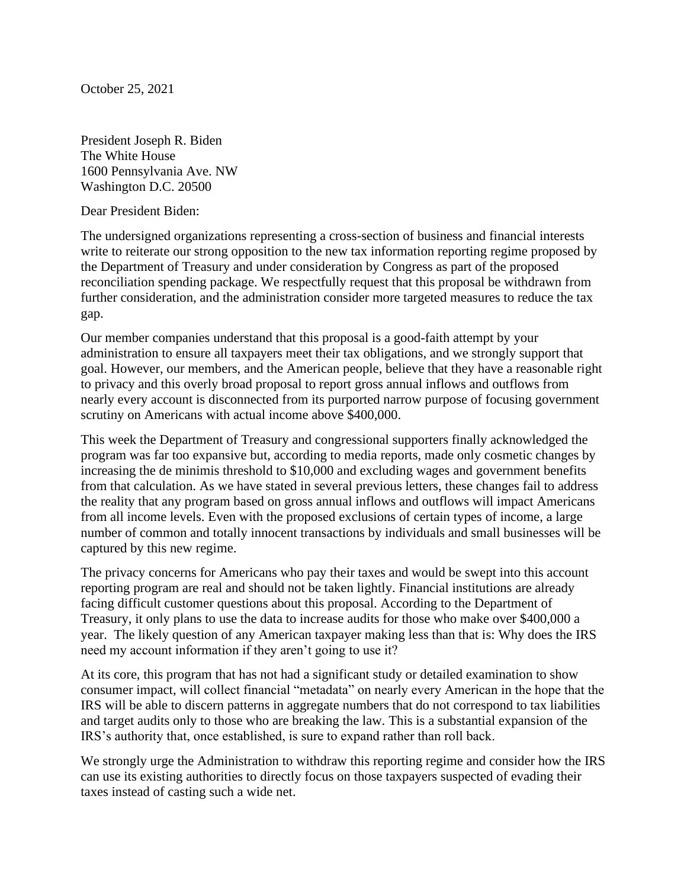October 25, 2021

President Joseph R. Biden The White House 1600 Pennsylvania Ave. NW Washington D.C. 20500

Dear President Biden:

The undersigned organizations representing a cross-section of business and financial interests write to reiterate our strong opposition to the new tax information reporting regime proposed by the Department of Treasury and under consideration by Congress as part of the proposed reconciliation spending package. We respectfully request that this proposal be withdrawn from further consideration, and the administration consider more targeted measures to reduce the tax gap.

Our member companies understand that this proposal is a good-faith attempt by your administration to ensure all taxpayers meet their tax obligations, and we strongly support that goal. However, our members, and the American people, believe that they have a reasonable right to privacy and this overly broad proposal to report gross annual inflows and outflows from nearly every account is disconnected from its purported narrow purpose of focusing government scrutiny on Americans with actual income above \$400,000.

This week the Department of Treasury and congressional supporters finally acknowledged the program was far too expansive but, according to media reports, made only cosmetic changes by increasing the de minimis threshold to \$10,000 and excluding wages and government benefits from that calculation. As we have stated in several previous letters, these changes fail to address the reality that any program based on gross annual inflows and outflows will impact Americans from all income levels. Even with the proposed exclusions of certain types of income, a large number of common and totally innocent transactions by individuals and small businesses will be captured by this new regime.

The privacy concerns for Americans who pay their taxes and would be swept into this account reporting program are real and should not be taken lightly. Financial institutions are already facing difficult customer questions about this proposal. According to the Department of Treasury, it only plans to use the data to increase audits for those who make over \$400,000 a year. The likely question of any American taxpayer making less than that is: Why does the IRS need my account information if they aren't going to use it?

At its core, this program that has not had a significant study or detailed examination to show consumer impact, will collect financial "metadata" on nearly every American in the hope that the IRS will be able to discern patterns in aggregate numbers that do not correspond to tax liabilities and target audits only to those who are breaking the law. This is a substantial expansion of the IRS's authority that, once established, is sure to expand rather than roll back.

We strongly urge the Administration to withdraw this reporting regime and consider how the IRS can use its existing authorities to directly focus on those taxpayers suspected of evading their taxes instead of casting such a wide net.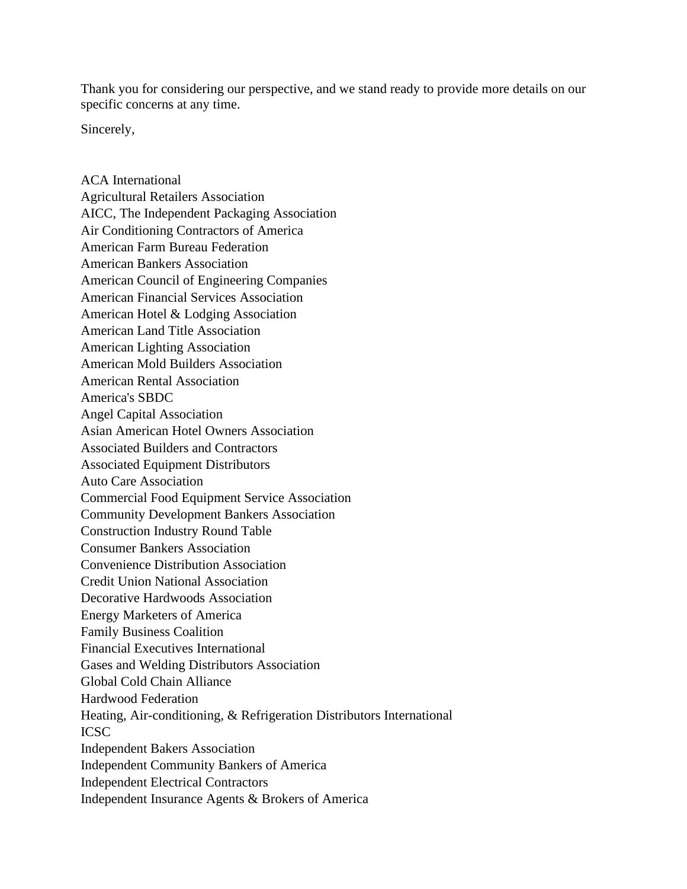Thank you for considering our perspective, and we stand ready to provide more details on our specific concerns at any time.

Sincerely,

ACA International Agricultural Retailers Association AICC, The Independent Packaging Association Air Conditioning Contractors of America American Farm Bureau Federation American Bankers Association American Council of Engineering Companies American Financial Services Association American Hotel & Lodging Association American Land Title Association American Lighting Association American Mold Builders Association American Rental Association America's SBDC Angel Capital Association Asian American Hotel Owners Association Associated Builders and Contractors Associated Equipment Distributors Auto Care Association Commercial Food Equipment Service Association Community Development Bankers Association Construction Industry Round Table Consumer Bankers Association Convenience Distribution Association Credit Union National Association Decorative Hardwoods Association Energy Marketers of America Family Business Coalition Financial Executives International Gases and Welding Distributors Association Global Cold Chain Alliance Hardwood Federation Heating, Air-conditioning, & Refrigeration Distributors International ICSC Independent Bakers Association Independent Community Bankers of America Independent Electrical Contractors Independent Insurance Agents & Brokers of America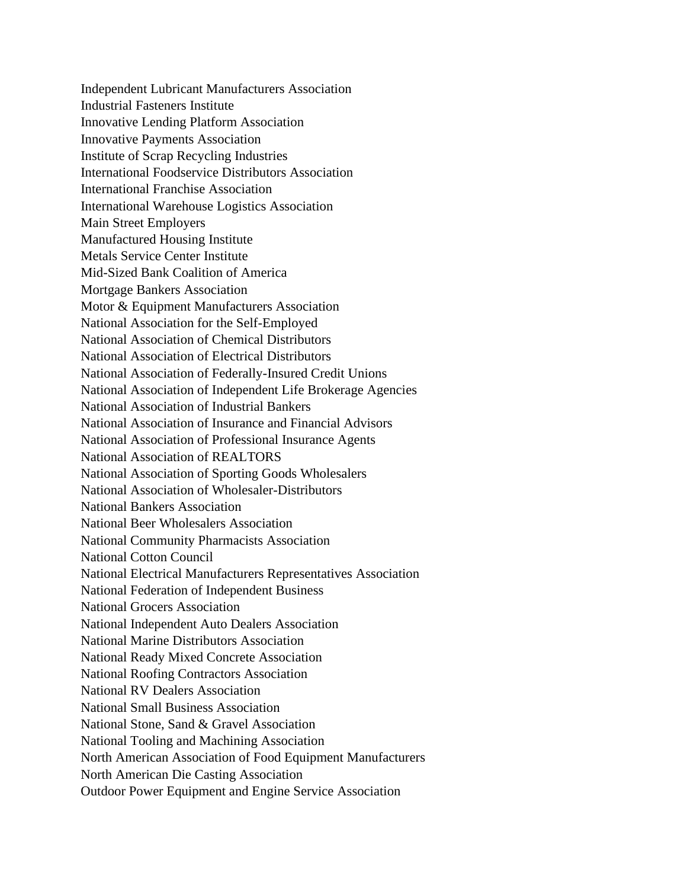Independent Lubricant Manufacturers Association Industrial Fasteners Institute Innovative Lending Platform Association Innovative Payments Association Institute of Scrap Recycling Industries International Foodservice Distributors Association International Franchise Association International Warehouse Logistics Association Main Street Employers Manufactured Housing Institute Metals Service Center Institute Mid-Sized Bank Coalition of America Mortgage Bankers Association Motor & Equipment Manufacturers Association National Association for the Self-Employed National Association of Chemical Distributors National Association of Electrical Distributors National Association of Federally-Insured Credit Unions National Association of Independent Life Brokerage Agencies National Association of Industrial Bankers National Association of Insurance and Financial Advisors National Association of Professional Insurance Agents National Association of REALTORS National Association of Sporting Goods Wholesalers National Association of Wholesaler-Distributors National Bankers Association National Beer Wholesalers Association National Community Pharmacists Association National Cotton Council National Electrical Manufacturers Representatives Association National Federation of Independent Business National Grocers Association National Independent Auto Dealers Association National Marine Distributors Association National Ready Mixed Concrete Association National Roofing Contractors Association National RV Dealers Association National Small Business Association National Stone, Sand & Gravel Association National Tooling and Machining Association North American Association of Food Equipment Manufacturers North American Die Casting Association Outdoor Power Equipment and Engine Service Association